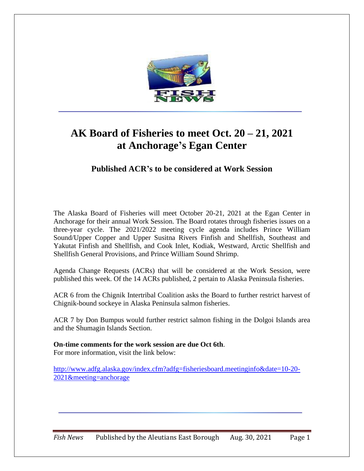

# **AK Board of Fisheries to meet Oct. 20 – 21, 2021 at Anchorage's Egan Center**

**Published ACR's to be considered at Work Session**

The Alaska Board of Fisheries will meet October 20-21, 2021 at the Egan Center in Anchorage for their annual Work Session. The Board rotates through fisheries issues on a three-year cycle. The 2021/2022 meeting cycle agenda includes Prince William Sound/Upper Copper and Upper Susitna Rivers Finfish and Shellfish, Southeast and Yakutat Finfish and Shellfish, and Cook Inlet, Kodiak, Westward, Arctic Shellfish and Shellfish General Provisions, and Prince William Sound Shrimp.

Agenda Change Requests (ACRs) that will be considered at the Work Session, were published this week. Of the 14 ACRs published, 2 pertain to Alaska Peninsula fisheries.

ACR 6 from the Chignik Intertribal Coalition asks the Board to further restrict harvest of Chignik-bound sockeye in Alaska Peninsula salmon fisheries.

ACR 7 by Don Bumpus would further restrict salmon fishing in the Dolgoi Islands area and the Shumagin Islands Section.

**On-time comments for the work session are due Oct 6th**. For more information, visit the link below:

[http://www.adfg.alaska.gov/index.cfm?adfg=fisheriesboard.meetinginfo&date=10-20-](http://www.adfg.alaska.gov/index.cfm?adfg=fisheriesboard.meetinginfo&date=10-20-2021&meeting=anchorage) [2021&meeting=anchorage](http://www.adfg.alaska.gov/index.cfm?adfg=fisheriesboard.meetinginfo&date=10-20-2021&meeting=anchorage)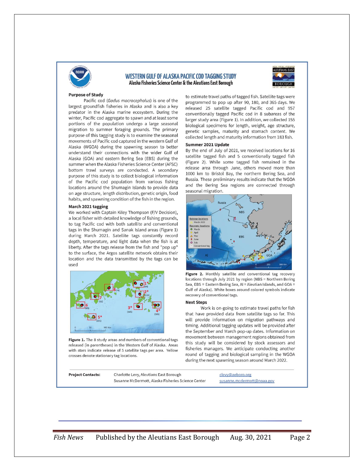

## **WESTERN GULF OF ALASKA PACIFIC COD TAGGING STUDY** Alaska Fisheries Science Center & the Aleutians East Borough



## **Purpose of Study**

Pacific cod (Gadus macrocephalus) is one of the largest groundfish fisheries in Alaska and is also a key predator in the Alaska marine ecosystem. During the winter, Pacific cod aggregate to spawn and at least some portions of the population undergo a large seasonal migration to summer foraging grounds. The primary purpose of this tagging study is to examine the seasonal movements of Pacific cod captured in the western Gulf of Alaska (WGOA) during the spawning season to better understand their connections with the wider Gulf of Alaska (GOA) and eastern Bering Sea (EBS) during the summer when the Alaska Fisheries Science Center (AFSC) bottom trawl surveys are conducted. A secondary purpose of this study is to collect biological information of the Pacific cod population from various fishing locations around the Shumagin Islands to provide data on age structure, length distribution, genetic origin, food habits, and spawning condition of the fish in the region.

### March 2021 tagging

We worked with Captain Kiley Thompson (F/V Decision), a local fisher with detailed knowledge of fishing grounds, to tag Pacific cod with both satellite and conventional tags in the Shumagin and Sanak Island areas (Figure 1) during March 2021. Satellite tags constantly record depth, temperature, and light data when the fish is at liberty. After the tags release from the fish and "pop up" to the surface, the Argos satellite network obtains their location and the data transmitted by the tags can be used



Figure 1. The 8 study areas and numbers of conventional tags released (in parentheses) in the Western Gulf of Alaska. Areas with stars indicate release of 5 satellite tags per area. Yellow crosses denote stationary tag locations.

**Project Co** 

to estimate travel paths of tagged fish. Satellite tags were programmed to pop up after 90, 180, and 365 days. We released 25 satellite tagged Pacific cod and 957 conventionally tagged Pacific cod in 8 subareas of the larger study area (Figure 1). In addition, we collected 155 biological specimens for length, weight, age structure, genetic samples, maturity and stomach content. We collected length and maturity information from 183 fish.

## Summer 2021 Update

By the end of July of 2021, we received locations for 16 satellite tagged fish and 5 conventionally tagged fish (Figure 2). While some tagged fish remained in the release area through June, others moved more than 1000 km to Bristol Bay, the northern Bering Sea, and Russia. These preliminary results indicate that the WGOA and the Bering Sea regions are connected through seasonal migration.



Figure 2. Monthly satellite and conventional tag recovery locations through July 2021 by region (NBS = Northern Bering Sea, EBS = Eastern Bering Sea, AI = Aleutian Islands, and GOA = Gulf of Alaska). White boxes around colored symbols indicate recovery of conventional tags.

#### **Next Steps**

Work is on-going to estimate travel paths for fish that have provided data from satellite tags so far. This will provide information on migration pathways and timing. Additional tagging updates will be provided after the September and March pop-up dates. Information on movement between management regions obtained from this study will be considered by stock assessors and fisheries managers. We anticipate conducting another round of tagging and biological sampling in the WGOA during the next spawning season around March 2022.

| ntacts: | Charlotte Levy, Aleutians East Borough             | clevy@aeboro.org           |
|---------|----------------------------------------------------|----------------------------|
|         | Susanne McDermott, Alaska Fisheries Science Center | susanne.mcdermott@noaa.gov |